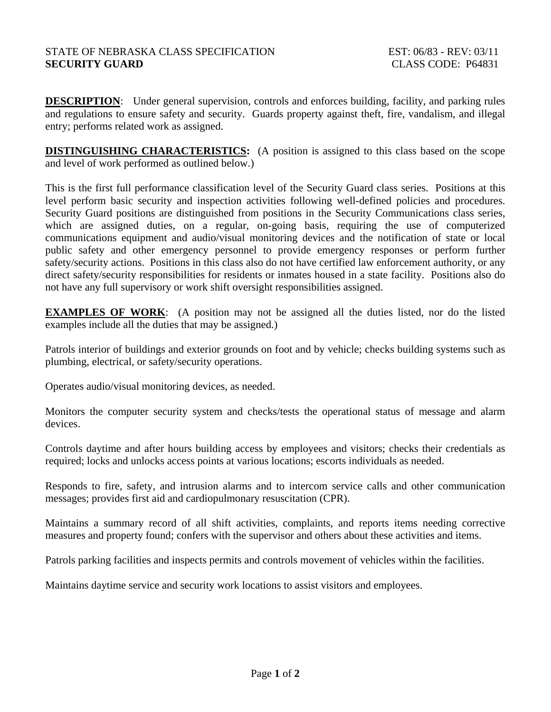# STATE OF NEBRASKA CLASS SPECIFICATION EST: 06/83 - REV: 03/11 **SECURITY GUARD** CLASS CODE: P64831

**DESCRIPTION:** Under general supervision, controls and enforces building, facility, and parking rules and regulations to ensure safety and security. Guards property against theft, fire, vandalism, and illegal entry; performs related work as assigned.

**DISTINGUISHING CHARACTERISTICS:** (A position is assigned to this class based on the scope and level of work performed as outlined below.)

This is the first full performance classification level of the Security Guard class series. Positions at this level perform basic security and inspection activities following well-defined policies and procedures. Security Guard positions are distinguished from positions in the Security Communications class series, which are assigned duties, on a regular, on-going basis, requiring the use of computerized communications equipment and audio/visual monitoring devices and the notification of state or local public safety and other emergency personnel to provide emergency responses or perform further safety/security actions. Positions in this class also do not have certified law enforcement authority, or any direct safety/security responsibilities for residents or inmates housed in a state facility. Positions also do not have any full supervisory or work shift oversight responsibilities assigned.

**EXAMPLES OF WORK:** (A position may not be assigned all the duties listed, nor do the listed examples include all the duties that may be assigned.)

Patrols interior of buildings and exterior grounds on foot and by vehicle; checks building systems such as plumbing, electrical, or safety/security operations.

Operates audio/visual monitoring devices, as needed.

Monitors the computer security system and checks/tests the operational status of message and alarm devices.

Controls daytime and after hours building access by employees and visitors; checks their credentials as required; locks and unlocks access points at various locations; escorts individuals as needed.

Responds to fire, safety, and intrusion alarms and to intercom service calls and other communication messages; provides first aid and cardiopulmonary resuscitation (CPR).

Maintains a summary record of all shift activities, complaints, and reports items needing corrective measures and property found; confers with the supervisor and others about these activities and items.

Patrols parking facilities and inspects permits and controls movement of vehicles within the facilities.

Maintains daytime service and security work locations to assist visitors and employees.